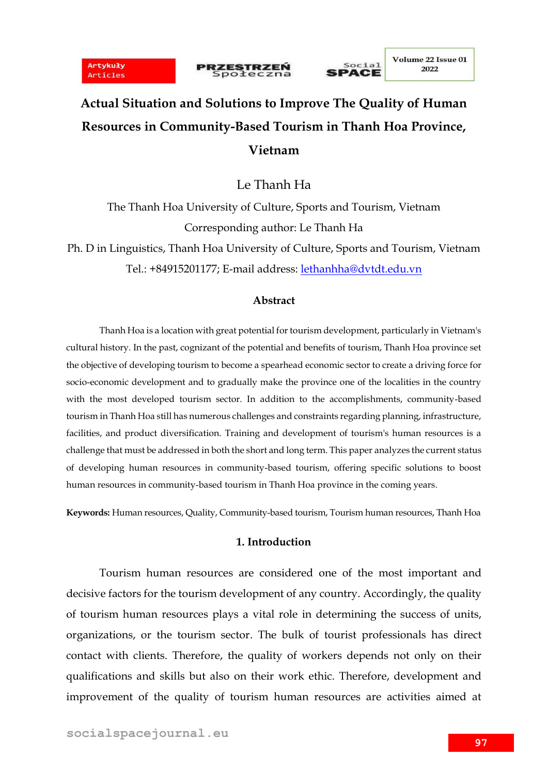





# **Actual Situation and Solutions to Improve The Quality of Human Resources in Community-Based Tourism in Thanh Hoa Province, Vietnam**

Le Thanh Ha

The Thanh Hoa University of Culture, Sports and Tourism, Vietnam Corresponding author: Le Thanh Ha

Ph. D in Linguistics, Thanh Hoa University of Culture, Sports and Tourism, Vietnam Tel.: +84915201177; E-mail address: [lethanhha@dvtdt.edu.vn](mailto:lethanhha@dvtdt.edu.vn)

### **Abstract**

Thanh Hoa is a location with great potential for tourism development, particularly in Vietnam's cultural history. In the past, cognizant of the potential and benefits of tourism, Thanh Hoa province set the objective of developing tourism to become a spearhead economic sector to create a driving force for socio-economic development and to gradually make the province one of the localities in the country with the most developed tourism sector. In addition to the accomplishments, community-based tourism in Thanh Hoa still has numerous challenges and constraints regarding planning, infrastructure, facilities, and product diversification. Training and development of tourism's human resources is a challenge that must be addressed in both the short and long term. This paper analyzes the current status of developing human resources in community-based tourism, offering specific solutions to boost human resources in community-based tourism in Thanh Hoa province in the coming years.

**Keywords:** Human resources, Quality, Community-based tourism, Tourism human resources, Thanh Hoa

### **1. Introduction**

Tourism human resources are considered one of the most important and decisive factors for the tourism development of any country. Accordingly, the quality of tourism human resources plays a vital role in determining the success of units, organizations, or the tourism sector. The bulk of tourist professionals has direct contact with clients. Therefore, the quality of workers depends not only on their qualifications and skills but also on their work ethic. Therefore, development and improvement of the quality of tourism human resources are activities aimed at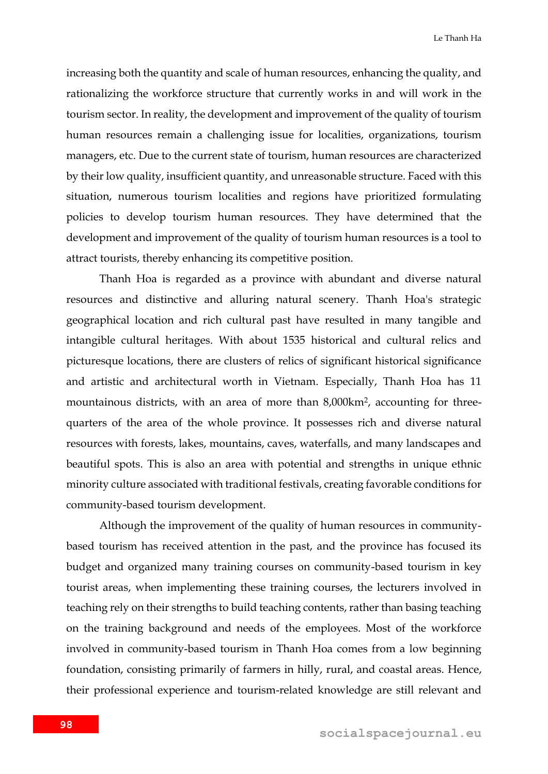increasing both the quantity and scale of human resources, enhancing the quality, and rationalizing the workforce structure that currently works in and will work in the tourism sector. In reality, the development and improvement of the quality of tourism human resources remain a challenging issue for localities, organizations, tourism managers, etc. Due to the current state of tourism, human resources are characterized by their low quality, insufficient quantity, and unreasonable structure. Faced with this situation, numerous tourism localities and regions have prioritized formulating policies to develop tourism human resources. They have determined that the development and improvement of the quality of tourism human resources is a tool to attract tourists, thereby enhancing its competitive position.

Thanh Hoa is regarded as a province with abundant and diverse natural resources and distinctive and alluring natural scenery. Thanh Hoa's strategic geographical location and rich cultural past have resulted in many tangible and intangible cultural heritages. With about 1535 historical and cultural relics and picturesque locations, there are clusters of relics of significant historical significance and artistic and architectural worth in Vietnam. Especially, Thanh Hoa has 11 mountainous districts, with an area of more than 8,000km<sup>2</sup> , accounting for threequarters of the area of the whole province. It possesses rich and diverse natural resources with forests, lakes, mountains, caves, waterfalls, and many landscapes and beautiful spots. This is also an area with potential and strengths in unique ethnic minority culture associated with traditional festivals, creating favorable conditions for community-based tourism development.

Although the improvement of the quality of human resources in communitybased tourism has received attention in the past, and the province has focused its budget and organized many training courses on community-based tourism in key tourist areas, when implementing these training courses, the lecturers involved in teaching rely on their strengths to build teaching contents, rather than basing teaching on the training background and needs of the employees. Most of the workforce involved in community-based tourism in Thanh Hoa comes from a low beginning foundation, consisting primarily of farmers in hilly, rural, and coastal areas. Hence, their professional experience and tourism-related knowledge are still relevant and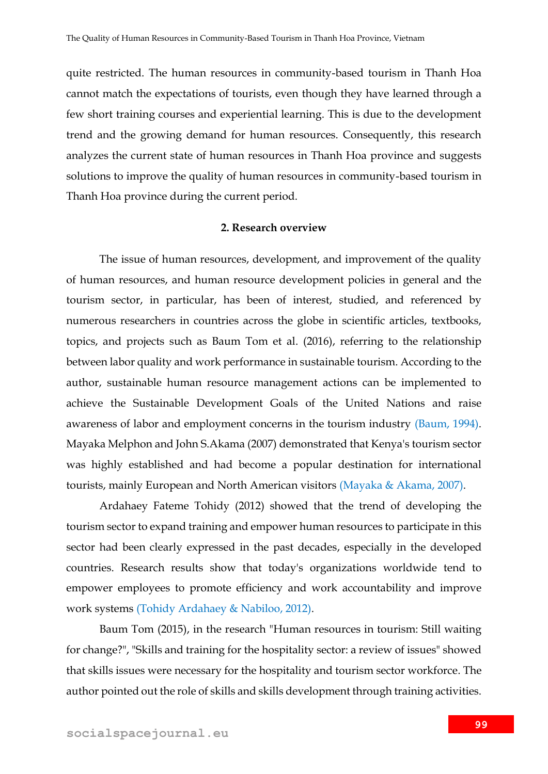quite restricted. The human resources in community-based tourism in Thanh Hoa cannot match the expectations of tourists, even though they have learned through a few short training courses and experiential learning. This is due to the development trend and the growing demand for human resources. Consequently, this research analyzes the current state of human resources in Thanh Hoa province and suggests solutions to improve the quality of human resources in community-based tourism in Thanh Hoa province during the current period.

#### **2. Research overview**

The issue of human resources, development, and improvement of the quality of human resources, and human resource development policies in general and the tourism sector, in particular, has been of interest, studied, and referenced by numerous researchers in countries across the globe in scientific articles, textbooks, topics, and projects such as Baum Tom et al. (2016), referring to the relationship between labor quality and work performance in sustainable tourism. According to the author, sustainable human resource management actions can be implemented to achieve the Sustainable Development Goals of the United Nations and raise awareness of labor and employment concerns in the tourism industry (Baum, 1994). Mayaka Melphon and John S.Akama (2007) demonstrated that Kenya's tourism sector was highly established and had become a popular destination for international tourists, mainly European and North American visitors (Mayaka & Akama, 2007).

Ardahaey Fateme Tohidy (2012) showed that the trend of developing the tourism sector to expand training and empower human resources to participate in this sector had been clearly expressed in the past decades, especially in the developed countries. Research results show that today's organizations worldwide tend to empower employees to promote efficiency and work accountability and improve work systems (Tohidy Ardahaey & Nabiloo, 2012).

Baum Tom (2015), in the research "Human resources in tourism: Still waiting for change?", "Skills and training for the hospitality sector: a review of issues" showed that skills issues were necessary for the hospitality and tourism sector workforce. The author pointed out the role of skills and skills development through training activities.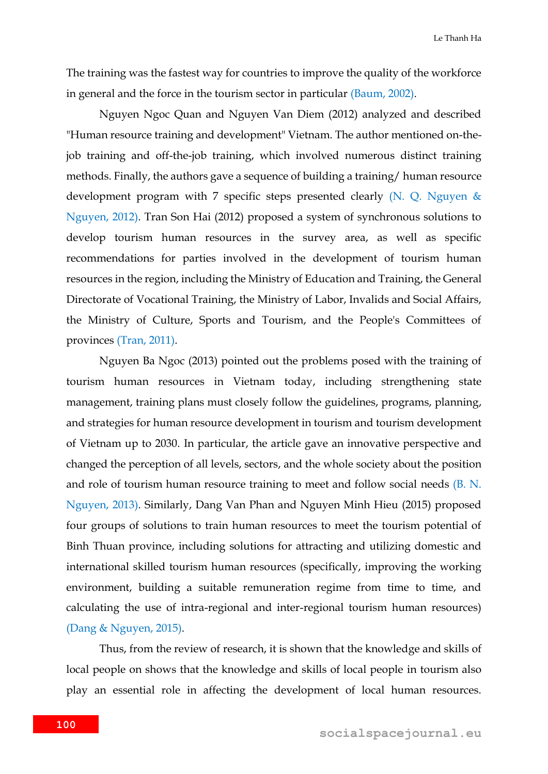The training was the fastest way for countries to improve the quality of the workforce in general and the force in the tourism sector in particular (Baum, 2002).

Nguyen Ngoc Quan and Nguyen Van Diem (2012) analyzed and described "Human resource training and development" Vietnam. The author mentioned on-thejob training and off-the-job training, which involved numerous distinct training methods. Finally, the authors gave a sequence of building a training/ human resource development program with 7 specific steps presented clearly (N. Q. Nguyen & Nguyen, 2012). Tran Son Hai (2012) proposed a system of synchronous solutions to develop tourism human resources in the survey area, as well as specific recommendations for parties involved in the development of tourism human resources in the region, including the Ministry of Education and Training, the General Directorate of Vocational Training, the Ministry of Labor, Invalids and Social Affairs, the Ministry of Culture, Sports and Tourism, and the People's Committees of provinces (Tran, 2011).

Nguyen Ba Ngoc (2013) pointed out the problems posed with the training of tourism human resources in Vietnam today, including strengthening state management, training plans must closely follow the guidelines, programs, planning, and strategies for human resource development in tourism and tourism development of Vietnam up to 2030. In particular, the article gave an innovative perspective and changed the perception of all levels, sectors, and the whole society about the position and role of tourism human resource training to meet and follow social needs (B. N. Nguyen, 2013). Similarly, Dang Van Phan and Nguyen Minh Hieu (2015) proposed four groups of solutions to train human resources to meet the tourism potential of Binh Thuan province, including solutions for attracting and utilizing domestic and international skilled tourism human resources (specifically, improving the working environment, building a suitable remuneration regime from time to time, and calculating the use of intra-regional and inter-regional tourism human resources) (Dang & Nguyen, 2015).

Thus, from the review of research, it is shown that the knowledge and skills of local people on shows that the knowledge and skills of local people in tourism also play an essential role in affecting the development of local human resources.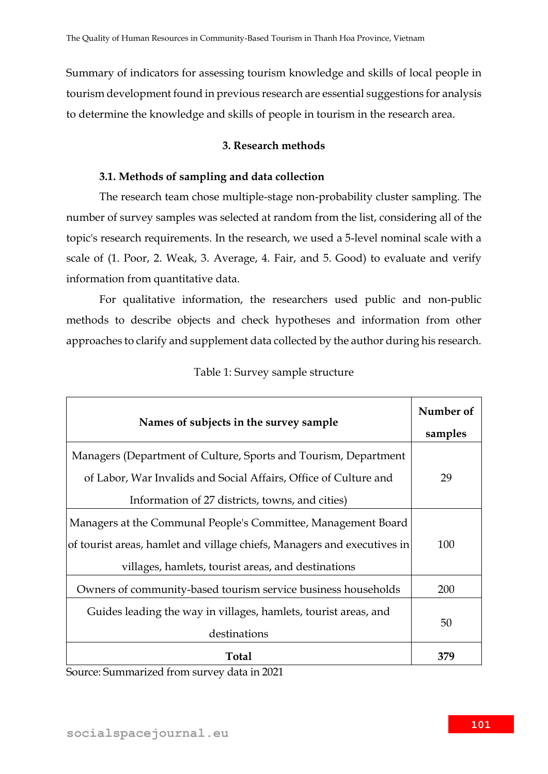Summary of indicators for assessing tourism knowledge and skills of local people in tourism development found in previous research are essential suggestions for analysis to determine the knowledge and skills of people in tourism in the research area.

### **3. Research methods**

### **3.1. Methods of sampling and data collection**

The research team chose multiple-stage non-probability cluster sampling. The number of survey samples was selected at random from the list, considering all of the topic's research requirements. In the research, we used a 5-level nominal scale with a scale of (1. Poor, 2. Weak, 3. Average, 4. Fair, and 5. Good) to evaluate and verify information from quantitative data.

For qualitative information, the researchers used public and non-public methods to describe objects and check hypotheses and information from other approaches to clarify and supplement data collected by the author during his research.

| Names of subjects in the survey sample                                                                                                                                                         | Number of<br>samples |
|------------------------------------------------------------------------------------------------------------------------------------------------------------------------------------------------|----------------------|
| Managers (Department of Culture, Sports and Tourism, Department<br>of Labor, War Invalids and Social Affairs, Office of Culture and<br>Information of 27 districts, towns, and cities)         | 29                   |
| Managers at the Communal People's Committee, Management Board<br>of tourist areas, hamlet and village chiefs, Managers and executives in<br>villages, hamlets, tourist areas, and destinations | 100                  |
| Owners of community-based tourism service business households                                                                                                                                  | 200                  |
| Guides leading the way in villages, hamlets, tourist areas, and<br>destinations                                                                                                                | 50                   |
| <b>Total</b>                                                                                                                                                                                   | 379                  |

### Table 1: Survey sample structure

Source: Summarized from survey data in 2021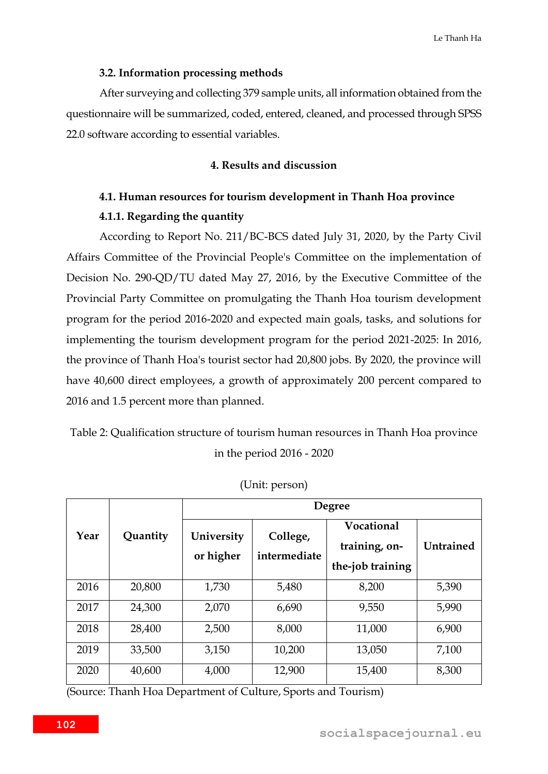Le Thanh Ha

#### **3.2. Information processing methods**

After surveying and collecting 379 sample units, all information obtained from the questionnaire will be summarized, coded, entered, cleaned, and processed through SPSS 22.0 software according to essential variables.

### **4. Results and discussion**

# **4.1. Human resources for tourism development in Thanh Hoa province 4.1.1. Regarding the quantity**

According to Report No. 211/BC-BCS dated July 31, 2020, by the Party Civil Affairs Committee of the Provincial People's Committee on the implementation of Decision No. 290-QD/TU dated May 27, 2016, by the Executive Committee of the Provincial Party Committee on promulgating the Thanh Hoa tourism development program for the period 2016-2020 and expected main goals, tasks, and solutions for implementing the tourism development program for the period 2021-2025: In 2016, the province of Thanh Hoa's tourist sector had 20,800 jobs. By 2020, the province will have 40,600 direct employees, a growth of approximately 200 percent compared to 2016 and 1.5 percent more than planned.

Table 2: Qualification structure of tourism human resources in Thanh Hoa province in the period 2016 - 2020

|      |          |                         |                          | <b>Degree</b>                                   |                  |  |  |  |
|------|----------|-------------------------|--------------------------|-------------------------------------------------|------------------|--|--|--|
| Year | Quantity | University<br>or higher | College,<br>intermediate | Vocational<br>training, on-<br>the-job training | <b>Untrained</b> |  |  |  |
| 2016 | 20,800   | 1,730                   | 5,480                    | 8,200                                           | 5,390            |  |  |  |
| 2017 | 24,300   | 2,070                   | 6,690                    | 9,550                                           | 5,990            |  |  |  |
| 2018 | 28,400   | 2,500                   | 8,000                    | 11,000                                          | 6,900            |  |  |  |
| 2019 | 33,500   | 3,150                   | 10,200                   | 13,050                                          | 7,100            |  |  |  |
| 2020 | 40,600   | 4,000                   | 12,900                   | 15,400                                          | 8,300            |  |  |  |

(Unit: person)

(Source: Thanh Hoa Department of Culture, Sports and Tourism)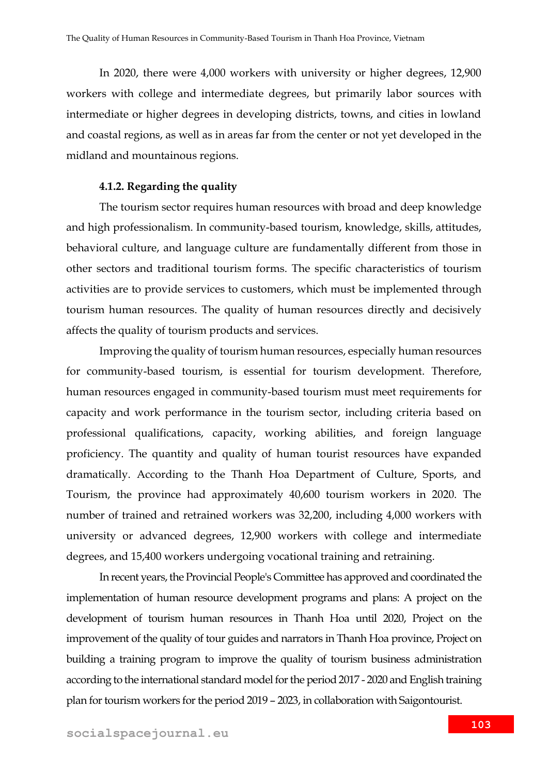In 2020, there were 4,000 workers with university or higher degrees, 12,900 workers with college and intermediate degrees, but primarily labor sources with intermediate or higher degrees in developing districts, towns, and cities in lowland and coastal regions, as well as in areas far from the center or not yet developed in the midland and mountainous regions.

#### **4.1.2. Regarding the quality**

The tourism sector requires human resources with broad and deep knowledge and high professionalism. In community-based tourism, knowledge, skills, attitudes, behavioral culture, and language culture are fundamentally different from those in other sectors and traditional tourism forms. The specific characteristics of tourism activities are to provide services to customers, which must be implemented through tourism human resources. The quality of human resources directly and decisively affects the quality of tourism products and services.

Improving the quality of tourism human resources, especially human resources for community-based tourism, is essential for tourism development. Therefore, human resources engaged in community-based tourism must meet requirements for capacity and work performance in the tourism sector, including criteria based on professional qualifications, capacity, working abilities, and foreign language proficiency. The quantity and quality of human tourist resources have expanded dramatically. According to the Thanh Hoa Department of Culture, Sports, and Tourism, the province had approximately 40,600 tourism workers in 2020. The number of trained and retrained workers was 32,200, including 4,000 workers with university or advanced degrees, 12,900 workers with college and intermediate degrees, and 15,400 workers undergoing vocational training and retraining.

In recent years, the Provincial People's Committee has approved and coordinated the implementation of human resource development programs and plans: A project on the development of tourism human resources in Thanh Hoa until 2020, Project on the improvement of the quality of tour guides and narrators in Thanh Hoa province, Project on building a training program to improve the quality of tourism business administration according to the international standard model for the period 2017 - 2020 and English training plan for tourism workers for the period 2019 – 2023, in collaboration with Saigontourist.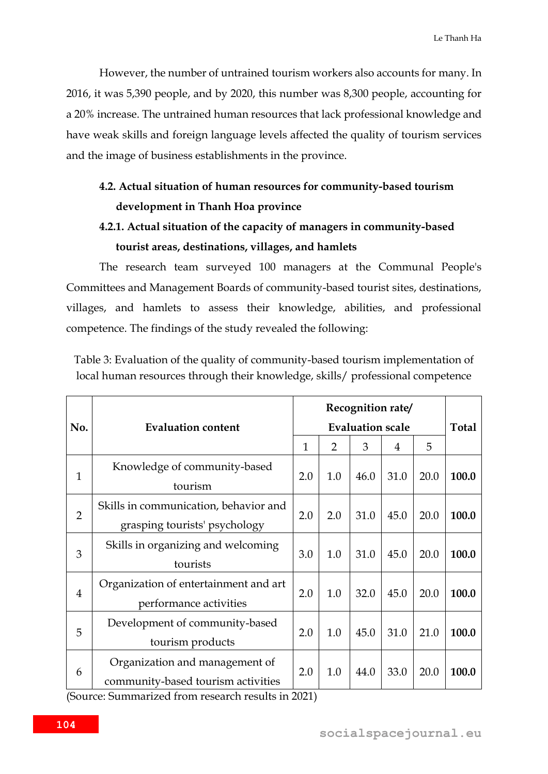However, the number of untrained tourism workers also accounts for many. In 2016, it was 5,390 people, and by 2020, this number was 8,300 people, accounting for a 20% increase. The untrained human resources that lack professional knowledge and have weak skills and foreign language levels affected the quality of tourism services and the image of business establishments in the province.

# **4.2. Actual situation of human resources for community-based tourism development in Thanh Hoa province**

# **4.2.1. Actual situation of the capacity of managers in community-based tourist areas, destinations, villages, and hamlets**

The research team surveyed 100 managers at the Communal People's Committees and Management Boards of community-based tourist sites, destinations, villages, and hamlets to assess their knowledge, abilities, and professional competence. The findings of the study revealed the following:

|                | <b>Evaluation content</b>             |     | <b>Total</b>   |      |      |      |       |
|----------------|---------------------------------------|-----|----------------|------|------|------|-------|
| No.            |                                       |     |                |      |      |      |       |
|                |                                       | 1   | $\overline{2}$ | 3    | 4    | 5    |       |
| $\mathbf{1}$   | Knowledge of community-based          | 2.0 | 1.0            | 46.0 | 31.0 | 20.0 | 100.0 |
|                | tourism                               |     |                |      |      |      |       |
| $\overline{2}$ | Skills in communication, behavior and | 2.0 | 2.0            | 31.0 | 45.0 | 20.0 | 100.0 |
|                | grasping tourists' psychology         |     |                |      |      |      |       |
| 3              | Skills in organizing and welcoming    | 3.0 | 1.0            | 31.0 | 45.0 | 20.0 | 100.0 |
|                | tourists                              |     |                |      |      |      |       |
| $\overline{4}$ | Organization of entertainment and art | 2.0 | 1.0            | 32.0 | 45.0 | 20.0 | 100.0 |
|                | performance activities                |     |                |      |      |      |       |
| 5              | Development of community-based        | 2.0 | 1.0            | 45.0 | 31.0 | 21.0 | 100.0 |
|                | tourism products                      |     |                |      |      |      |       |
| 6              | Organization and management of        | 2.0 | 1.0            | 44.0 | 33.0 | 20.0 | 100.0 |
|                | community-based tourism activities    |     |                |      |      |      |       |

Table 3: Evaluation of the quality of community-based tourism implementation of local human resources through their knowledge, skills/ professional competence

(Source: Summarized from research results in 2021)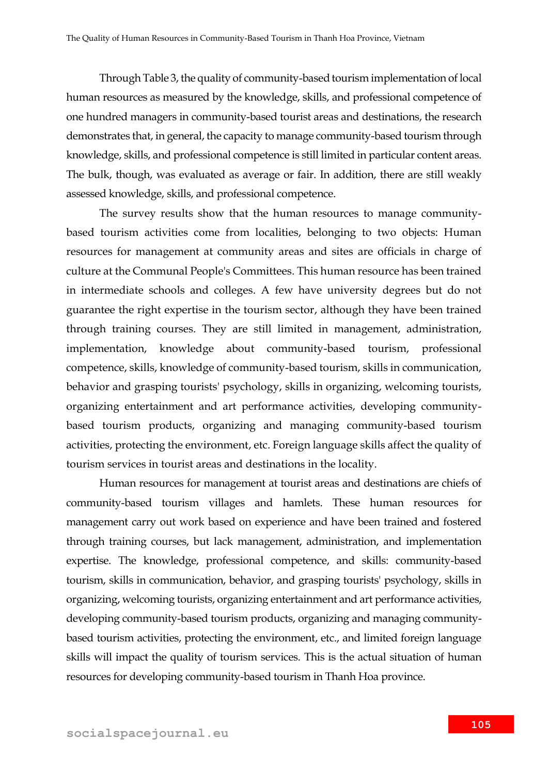Through Table 3, the quality of community-based tourism implementation of local human resources as measured by the knowledge, skills, and professional competence of one hundred managers in community-based tourist areas and destinations, the research demonstrates that, in general, the capacity to manage community-based tourism through knowledge, skills, and professional competence is still limited in particular content areas. The bulk, though, was evaluated as average or fair. In addition, there are still weakly assessed knowledge, skills, and professional competence.

The survey results show that the human resources to manage communitybased tourism activities come from localities, belonging to two objects: Human resources for management at community areas and sites are officials in charge of culture at the Communal People's Committees. This human resource has been trained in intermediate schools and colleges. A few have university degrees but do not guarantee the right expertise in the tourism sector, although they have been trained through training courses. They are still limited in management, administration, implementation, knowledge about community-based tourism, professional competence, skills, knowledge of community-based tourism, skills in communication, behavior and grasping tourists' psychology, skills in organizing, welcoming tourists, organizing entertainment and art performance activities, developing communitybased tourism products, organizing and managing community-based tourism activities, protecting the environment, etc. Foreign language skills affect the quality of tourism services in tourist areas and destinations in the locality.

Human resources for management at tourist areas and destinations are chiefs of community-based tourism villages and hamlets. These human resources for management carry out work based on experience and have been trained and fostered through training courses, but lack management, administration, and implementation expertise. The knowledge, professional competence, and skills: community-based tourism, skills in communication, behavior, and grasping tourists' psychology, skills in organizing, welcoming tourists, organizing entertainment and art performance activities, developing community-based tourism products, organizing and managing communitybased tourism activities, protecting the environment, etc., and limited foreign language skills will impact the quality of tourism services. This is the actual situation of human resources for developing community-based tourism in Thanh Hoa province.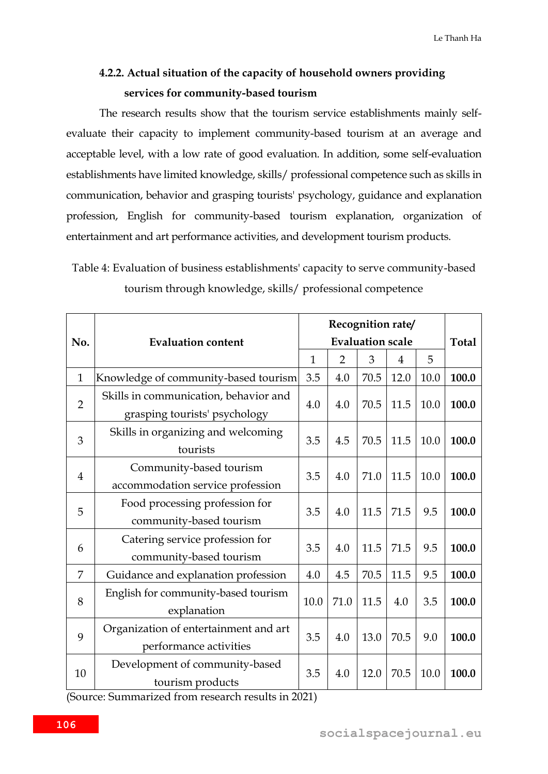## **4.2.2. Actual situation of the capacity of household owners providing services for community-based tourism**

The research results show that the tourism service establishments mainly selfevaluate their capacity to implement community-based tourism at an average and acceptable level, with a low rate of good evaluation. In addition, some self-evaluation establishments have limited knowledge, skills/ professional competence such as skills in communication, behavior and grasping tourists' psychology, guidance and explanation profession, English for community-based tourism explanation, organization of entertainment and art performance activities, and development tourism products.

Table 4: Evaluation of business establishments' capacity to serve community-based tourism through knowledge, skills/ professional competence

| No.            | <b>Evaluation content</b>                                              | Recognition rate/ | <b>Total</b>   |                              |      |      |       |
|----------------|------------------------------------------------------------------------|-------------------|----------------|------------------------------|------|------|-------|
|                |                                                                        | $\mathbf{1}$      | $\overline{2}$ | <b>Evaluation scale</b><br>3 | 4    | 5    |       |
| $\mathbf{1}$   | Knowledge of community-based tourism                                   | 3.5               | 4.0            | 70.5                         | 12.0 | 10.0 | 100.0 |
| $\overline{2}$ | Skills in communication, behavior and<br>grasping tourists' psychology | 4.0               | 4.0            | 70.5                         | 11.5 | 10.0 | 100.0 |
| 3              | Skills in organizing and welcoming<br>tourists                         | 3.5               | 4.5            | 70.5                         | 11.5 | 10.0 | 100.0 |
| $\overline{4}$ | Community-based tourism<br>accommodation service profession            | 3.5               | 4.0            | 71.0                         | 11.5 | 10.0 | 100.0 |
| 5              | Food processing profession for<br>community-based tourism              | 3.5               | 4.0            | 11.5                         | 71.5 | 9.5  | 100.0 |
| 6              | Catering service profession for<br>community-based tourism             | 3.5               | 4.0            | 11.5                         | 71.5 | 9.5  | 100.0 |
| 7              | Guidance and explanation profession                                    | 4.0               | 4.5            | 70.5                         | 11.5 | 9.5  | 100.0 |
| 8              | English for community-based tourism<br>explanation                     | 10.0              | 71.0           | 11.5                         | 4.0  | 3.5  | 100.0 |
| 9              | Organization of entertainment and art<br>performance activities        | 3.5               | 4.0            | 13.0                         | 70.5 | 9.0  | 100.0 |
| 10             | Development of community-based<br>tourism products                     | 3.5               | 4.0            | 12.0                         | 70.5 | 10.0 | 100.0 |

(Source: Summarized from research results in 2021)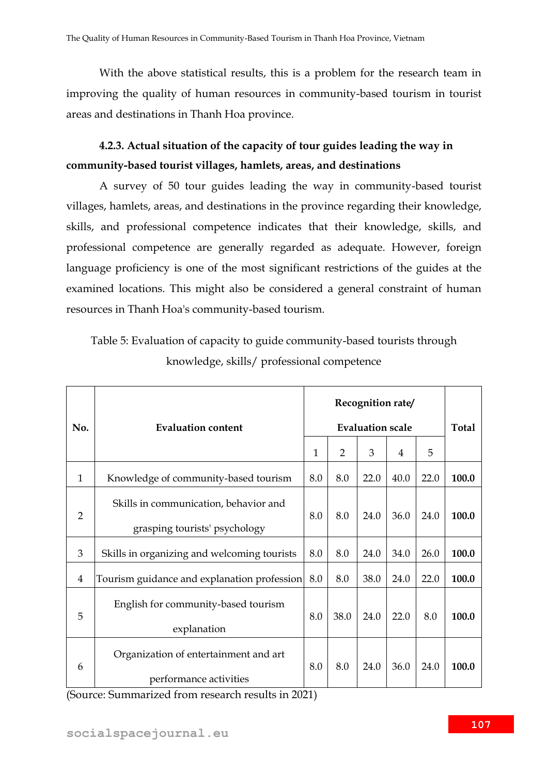With the above statistical results, this is a problem for the research team in improving the quality of human resources in community-based tourism in tourist areas and destinations in Thanh Hoa province.

# **4.2.3. Actual situation of the capacity of tour guides leading the way in community-based tourist villages, hamlets, areas, and destinations**

A survey of 50 tour guides leading the way in community-based tourist villages, hamlets, areas, and destinations in the province regarding their knowledge, skills, and professional competence indicates that their knowledge, skills, and professional competence are generally regarded as adequate. However, foreign language proficiency is one of the most significant restrictions of the guides at the examined locations. This might also be considered a general constraint of human resources in Thanh Hoa's community-based tourism.

# Table 5: Evaluation of capacity to guide community-based tourists through knowledge, skills/ professional competence

| No.          | <b>Evaluation content</b>                                              | Recognition rate/<br><b>Evaluation scale</b> |                |      |      |      | <b>Total</b> |
|--------------|------------------------------------------------------------------------|----------------------------------------------|----------------|------|------|------|--------------|
|              |                                                                        | $\mathbf{1}$                                 | $\overline{2}$ | 3    | 4    | 5    |              |
| $\mathbf{1}$ | Knowledge of community-based tourism                                   | 8.0                                          | 8.0            | 22.0 | 40.0 | 22.0 | 100.0        |
| 2            | Skills in communication, behavior and<br>grasping tourists' psychology | 8.0                                          | 8.0            | 24.0 | 36.0 | 24.0 | 100.0        |
| 3            | Skills in organizing and welcoming tourists                            | 8.0                                          | 8.0            | 24.0 | 34.0 | 26.0 | 100.0        |
| 4            | Tourism guidance and explanation profession                            | 8.0                                          | 8.0            | 38.0 | 24.0 | 22.0 | 100.0        |
| 5            | English for community-based tourism<br>explanation                     | 8.0                                          | 38.0           | 24.0 | 22.0 | 8.0  | 100.0        |
| 6            | Organization of entertainment and art<br>performance activities        | 8.0                                          | 8.0            | 24.0 | 36.0 | 24.0 | 100.0        |

(Source: Summarized from research results in 2021)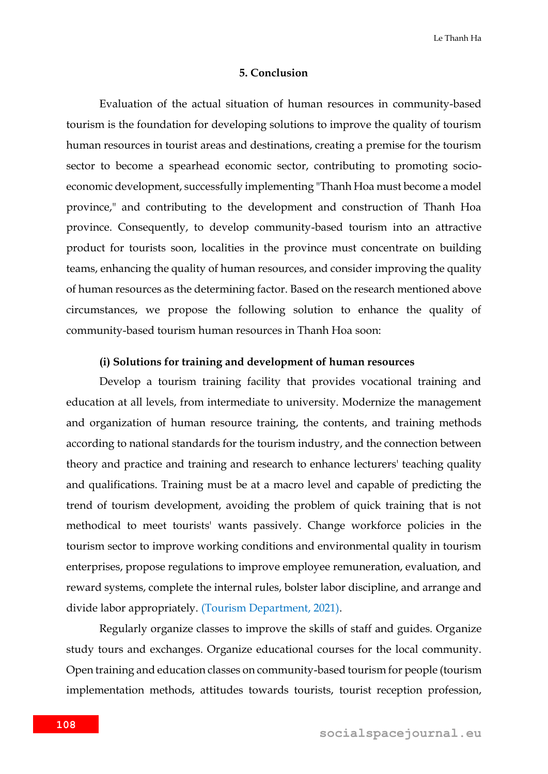Le Thanh Ha

#### **5. Conclusion**

Evaluation of the actual situation of human resources in community-based tourism is the foundation for developing solutions to improve the quality of tourism human resources in tourist areas and destinations, creating a premise for the tourism sector to become a spearhead economic sector, contributing to promoting socioeconomic development, successfully implementing "Thanh Hoa must become a model province," and contributing to the development and construction of Thanh Hoa province. Consequently, to develop community-based tourism into an attractive product for tourists soon, localities in the province must concentrate on building teams, enhancing the quality of human resources, and consider improving the quality of human resources as the determining factor. Based on the research mentioned above circumstances, we propose the following solution to enhance the quality of community-based tourism human resources in Thanh Hoa soon:

#### **(i) Solutions for training and development of human resources**

Develop a tourism training facility that provides vocational training and education at all levels, from intermediate to university. Modernize the management and organization of human resource training, the contents, and training methods according to national standards for the tourism industry, and the connection between theory and practice and training and research to enhance lecturers' teaching quality and qualifications. Training must be at a macro level and capable of predicting the trend of tourism development, avoiding the problem of quick training that is not methodical to meet tourists' wants passively. Change workforce policies in the tourism sector to improve working conditions and environmental quality in tourism enterprises, propose regulations to improve employee remuneration, evaluation, and reward systems, complete the internal rules, bolster labor discipline, and arrange and divide labor appropriately. (Tourism Department, 2021).

Regularly organize classes to improve the skills of staff and guides. Organize study tours and exchanges. Organize educational courses for the local community. Open training and education classes on community-based tourism for people (tourism implementation methods, attitudes towards tourists, tourist reception profession,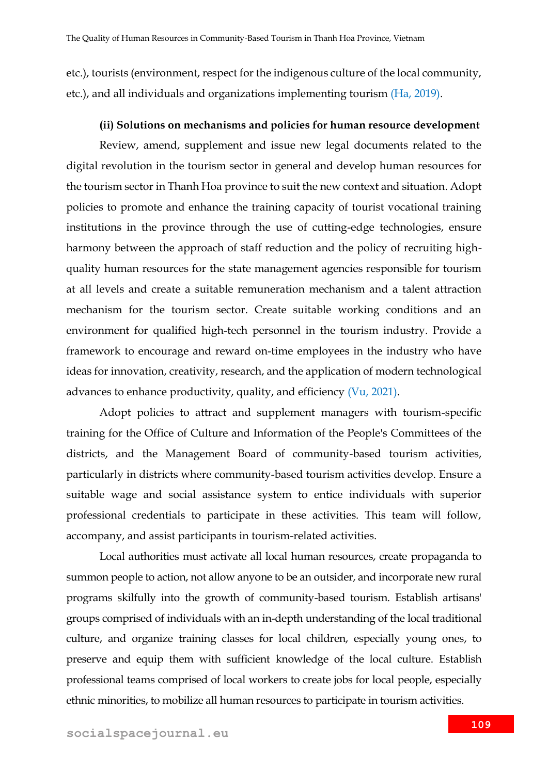etc.), tourists (environment, respect for the indigenous culture of the local community, etc.), and all individuals and organizations implementing tourism (Ha, 2019).

#### **(ii) Solutions on mechanisms and policies for human resource development**

Review, amend, supplement and issue new legal documents related to the digital revolution in the tourism sector in general and develop human resources for the tourism sector in Thanh Hoa province to suit the new context and situation. Adopt policies to promote and enhance the training capacity of tourist vocational training institutions in the province through the use of cutting-edge technologies, ensure harmony between the approach of staff reduction and the policy of recruiting highquality human resources for the state management agencies responsible for tourism at all levels and create a suitable remuneration mechanism and a talent attraction mechanism for the tourism sector. Create suitable working conditions and an environment for qualified high-tech personnel in the tourism industry. Provide a framework to encourage and reward on-time employees in the industry who have ideas for innovation, creativity, research, and the application of modern technological advances to enhance productivity, quality, and efficiency  $(Vu, 2021)$ .

Adopt policies to attract and supplement managers with tourism-specific training for the Office of Culture and Information of the People's Committees of the districts, and the Management Board of community-based tourism activities, particularly in districts where community-based tourism activities develop. Ensure a suitable wage and social assistance system to entice individuals with superior professional credentials to participate in these activities. This team will follow, accompany, and assist participants in tourism-related activities.

Local authorities must activate all local human resources, create propaganda to summon people to action, not allow anyone to be an outsider, and incorporate new rural programs skilfully into the growth of community-based tourism. Establish artisans' groups comprised of individuals with an in-depth understanding of the local traditional culture, and organize training classes for local children, especially young ones, to preserve and equip them with sufficient knowledge of the local culture. Establish professional teams comprised of local workers to create jobs for local people, especially ethnic minorities, to mobilize all human resources to participate in tourism activities.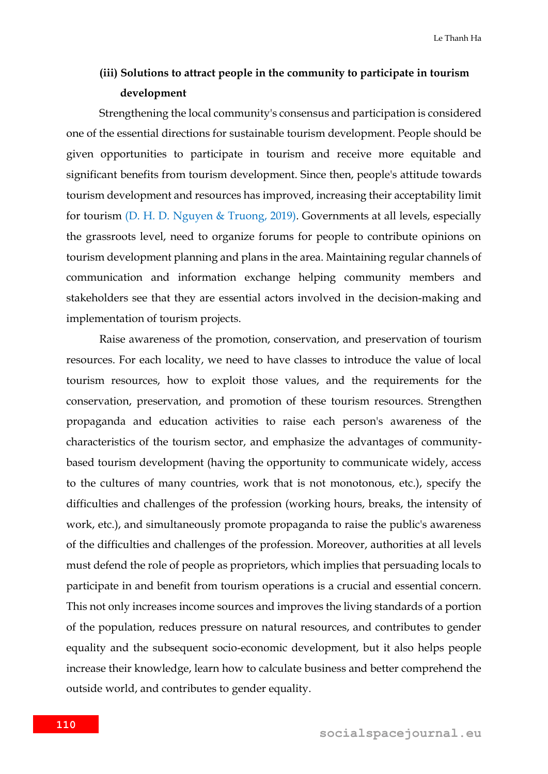### **(iii) Solutions to attract people in the community to participate in tourism development**

Strengthening the local community's consensus and participation is considered one of the essential directions for sustainable tourism development. People should be given opportunities to participate in tourism and receive more equitable and significant benefits from tourism development. Since then, people's attitude towards tourism development and resources has improved, increasing their acceptability limit for tourism (D. H. D. Nguyen & Truong, 2019). Governments at all levels, especially the grassroots level, need to organize forums for people to contribute opinions on tourism development planning and plans in the area. Maintaining regular channels of communication and information exchange helping community members and stakeholders see that they are essential actors involved in the decision-making and implementation of tourism projects.

Raise awareness of the promotion, conservation, and preservation of tourism resources. For each locality, we need to have classes to introduce the value of local tourism resources, how to exploit those values, and the requirements for the conservation, preservation, and promotion of these tourism resources. Strengthen propaganda and education activities to raise each person's awareness of the characteristics of the tourism sector, and emphasize the advantages of communitybased tourism development (having the opportunity to communicate widely, access to the cultures of many countries, work that is not monotonous, etc.), specify the difficulties and challenges of the profession (working hours, breaks, the intensity of work, etc.), and simultaneously promote propaganda to raise the public's awareness of the difficulties and challenges of the profession. Moreover, authorities at all levels must defend the role of people as proprietors, which implies that persuading locals to participate in and benefit from tourism operations is a crucial and essential concern. This not only increases income sources and improves the living standards of a portion of the population, reduces pressure on natural resources, and contributes to gender equality and the subsequent socio-economic development, but it also helps people increase their knowledge, learn how to calculate business and better comprehend the outside world, and contributes to gender equality.